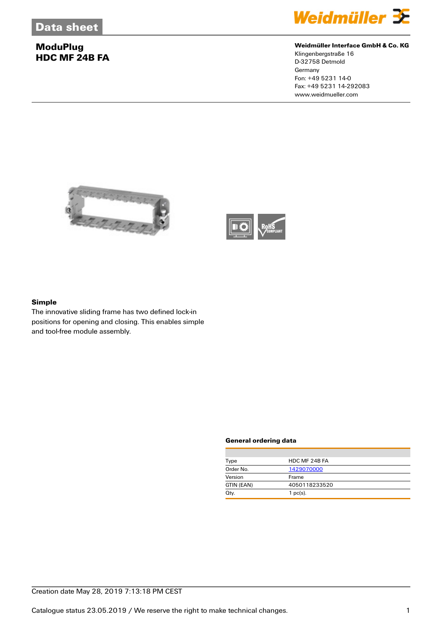## **ModuPlug HDC MF 24B FA**



#### **Weidmüller Interface GmbH & Co. KG**

Klingenbergstraße 16 D-32758 Detmold **Germany** Fon: +49 5231 14-0 Fax: +49 5231 14-292083 www.weidmueller.com





### **Simple**

The innovative sliding frame has two defined lock-in positions for opening and closing. This enables simple and tool-free module assembly.

#### **General ordering data**

| Type       | HDC MF 24B FA |
|------------|---------------|
| Order No.  | 1429070000    |
| Version    | Frame         |
| GTIN (EAN) | 4050118233520 |
| Qty.       | $1$ pc(s).    |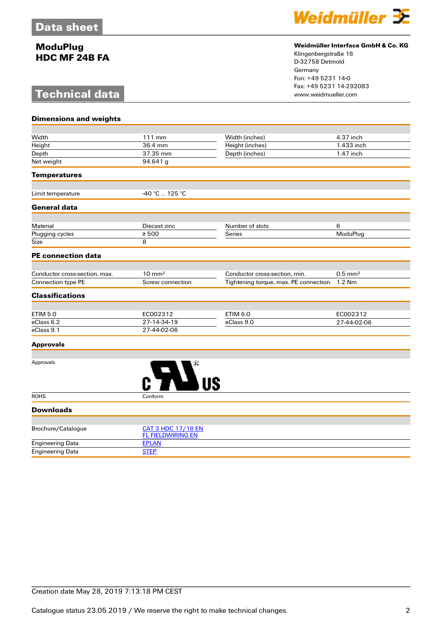## **ModuPlug HDC MF 24B FA**

# **Technical data**



### **Weidmüller Interface GmbH & Co. KG**

Klingenbergstraße 16 D-32758 Detmold Germany Fon: +49 5231 14-0 Fax: +49 5231 14-292083

| <b>Dimensions and weights</b> |                                                       |                                       |                       |
|-------------------------------|-------------------------------------------------------|---------------------------------------|-----------------------|
|                               |                                                       |                                       |                       |
| Width                         | 111 mm                                                | Width (inches)                        | 4.37 inch             |
| Height                        | 36.4 mm                                               | Height (inches)                       | 1.433 inch            |
| Depth                         | 37.35 mm                                              | Depth (inches)                        | 1.47 inch             |
| Net weight                    | 94.641 g                                              |                                       |                       |
| <b>Temperatures</b>           |                                                       |                                       |                       |
| Limit temperature             | -40 °C  125 °C                                        |                                       |                       |
| <b>General data</b>           |                                                       |                                       |                       |
|                               |                                                       |                                       |                       |
| Material                      | Diecast zinc                                          | Number of slots                       | 6                     |
| Plugging cycles               | $\geq 500$                                            | Series                                | ModuPlug              |
| Size                          | 8                                                     |                                       |                       |
| <b>PE connection data</b>     |                                                       |                                       |                       |
|                               |                                                       |                                       |                       |
| Conductor cross-section, max. | $10 \text{ mm}^2$                                     | Conductor cross-section, min.         | $0.5$ mm <sup>2</sup> |
| <b>Connection type PE</b>     | Screw connection                                      | Tightening torque, max. PE connection | 1.2 Nm                |
| <b>Classifications</b>        |                                                       |                                       |                       |
|                               |                                                       |                                       |                       |
| <b>ETIM 5.0</b>               | EC002312                                              | <b>ETIM 6.0</b>                       | EC002312              |
| eClass 6.2                    | 27-14-34-19                                           | eClass 9.0                            | 27-44-02-06           |
| eClass 9.1                    | 27-44-02-06                                           |                                       |                       |
| <b>Approvals</b>              |                                                       |                                       |                       |
|                               |                                                       |                                       |                       |
| Approvals                     |                                                       |                                       |                       |
| <b>ROHS</b>                   | Conform                                               |                                       |                       |
| <b>Downloads</b>              |                                                       |                                       |                       |
|                               |                                                       |                                       |                       |
| Brochure/Catalogue            | <b>CAT 3 HDC 17/18 EN</b><br><b>FL FIELDWIRING EN</b> |                                       |                       |

| Engineering Data   | STEP                     |
|--------------------|--------------------------|
| Engineering Data   | <b>FPLAN</b>             |
|                    | <b>FL FIELDWIRING EN</b> |
| Brocnure/Catalogue | CAI 3 HDU 11/18 EN       |